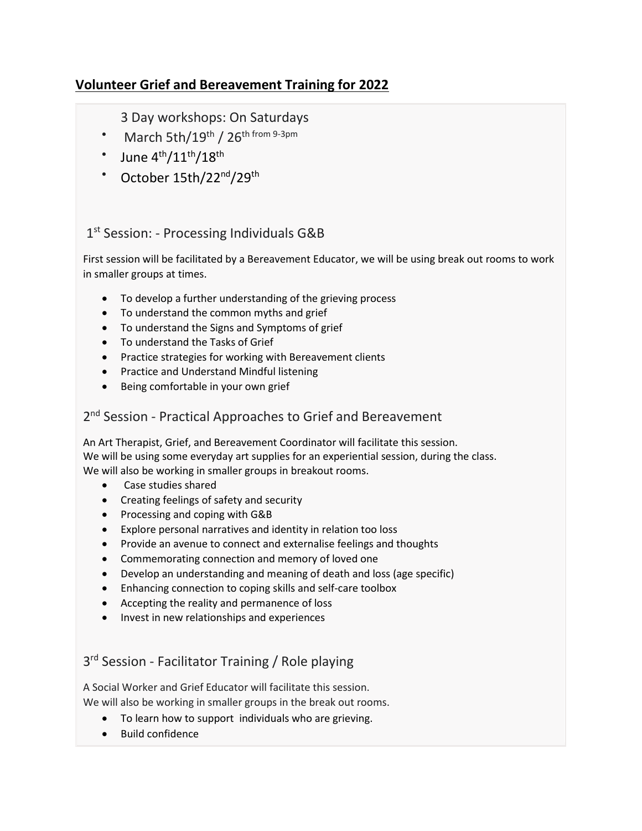# **Volunteer Grief and Bereavement Training for 2022**

### 3 Day workshops: On Saturdays

- March 5th/19<sup>th</sup> / 26<sup>th from 9-3pm</sup>
- June  $4<sup>th</sup>/11<sup>th</sup>/18<sup>th</sup>$
- October  $15th/22^{nd}/29^{th}$

#### 1<sup>st</sup> Session: - Processing Individuals G&B

First session will be facilitated by a Bereavement Educator, we will be using break out rooms to work in smaller groups at times.

- To develop a further understanding of the grieving process
- To understand the common myths and grief
- To understand the Signs and Symptoms of grief
- To understand the Tasks of Grief
- Practice strategies for working with Bereavement clients
- Practice and Understand Mindful listening
- Being comfortable in your own grief

#### 2<sup>nd</sup> Session - Practical Approaches to Grief and Bereavement

An Art Therapist, Grief, and Bereavement Coordinator will facilitate this session. We will be using some everyday art supplies for an experiential session, during the class. We will also be working in smaller groups in breakout rooms.

- Case studies shared
- Creating feelings of safety and security
- Processing and coping with G&B
- Explore personal narratives and identity in relation too loss
- Provide an avenue to connect and externalise feelings and thoughts
- Commemorating connection and memory of loved one
- Develop an understanding and meaning of death and loss (age specific)
- Enhancing connection to coping skills and self-care toolbox
- Accepting the reality and permanence of loss
- Invest in new relationships and experiences

## 3<sup>rd</sup> Session - Facilitator Training / Role playing

A Social Worker and Grief Educator will facilitate this session. We will also be working in smaller groups in the break out rooms.

- To learn how to support individuals who are grieving.
- Build confidence